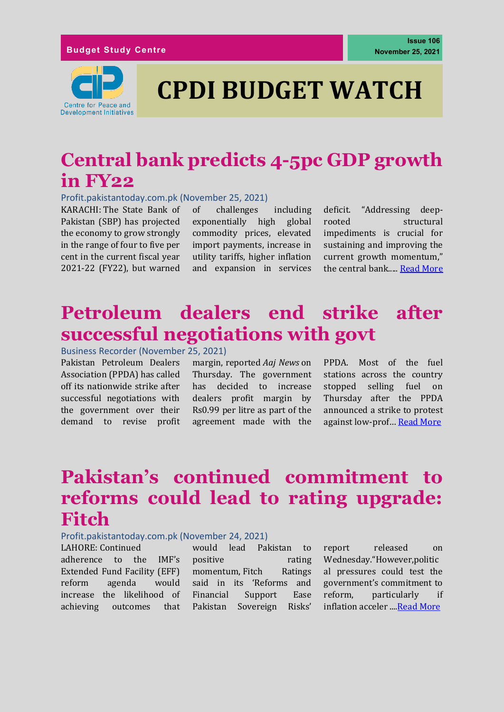

# **CPDI BUDGET WATCH**

# **Central bank predicts 4-5pc GDP growth in FY22**

#### Profit.pakistantoday.com.pk (November 25, 2021)

KARACHI: The State Bank of Pakistan (SBP) has projected the economy to grow strongly in the range of four to five per cent in the current fiscal year 2021-22 (FY22), but warned of challenges including exponentially high global commodity prices, elevated import payments, increase in utility tariffs, higher inflation and expansion in services deficit. "Addressing deeprooted structural impediments is crucial for sustaining and improving the current growth momentum," the central bank....[. Read More](https://profit.pakistantoday.com.pk/2021/11/25/central-bank-predicts-4-5pc-gdp-growth-in-fy22/)

### **Petroleum dealers end strike after successful negotiations with govt**

Business Recorder (November 25, 2021)

Pakistan Petroleum Dealers Association (PPDA) has called off its nationwide strike after successful negotiations with the government over their demand to revise profit margin, reported *Aaj News* on Thursday. The government has decided to increase dealers profit margin by Rs0.99 per litre as part of the agreement made with the PPDA. Most of the fuel stations across the country stopped selling fuel on Thursday after the PPDA announced a strike to protest against low-prof… [Read More](https://www.brecorder.com/news/40135845)

### **Pakistan's continued commitment to reforms could lead to rating upgrade: Fitch**

#### Profit.pakistantoday.com.pk (November 24, 2021)

LAHORE: Continued adherence to the IMF's Extended Fund Facility (EFF) reform agenda would increase the likelihood of achieving outcomes that would lead Pakistan to positive rating momentum, Fitch Ratings said in its 'Reforms and Financial Support Ease Pakistan Sovereign Risks'

report released on Wednesday."However,politic al pressures could test the government's commitment to reform, particularly if inflation acceler ..[..Read More](https://profit.pakistantoday.com.pk/2021/11/10/cashback-startup-savyour-raises-3-3mn-to-help-consolidate-ecommerce-in-pakistan/)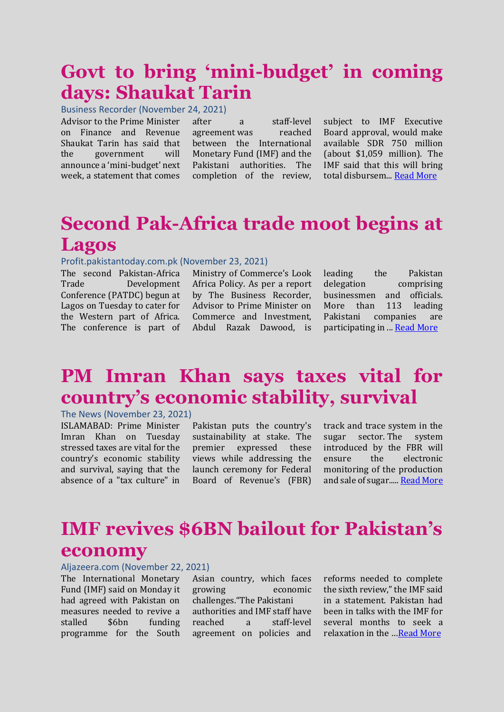## **Govt to bring 'mini-budget' in coming days: Shaukat Tarin**

Business Recorder (November 24, 2021)

Advisor to the Prime Minister on Finance and Revenue Shaukat Tarin has said that the government will announce a 'mini-budget' next week, a statement that comes

after a staff-level agreement [was reached](https://www.brecorder.com/news/40134961/programme-revival-pakistan-imf-reach-staff-level-agreement-on-sixth-review)  [between the International](https://www.brecorder.com/news/40134961/programme-revival-pakistan-imf-reach-staff-level-agreement-on-sixth-review)  [Monetary Fund \(IMF\) and the](https://www.brecorder.com/news/40134961/programme-revival-pakistan-imf-reach-staff-level-agreement-on-sixth-review)  [Pakistani authorities.](https://www.brecorder.com/news/40134961/programme-revival-pakistan-imf-reach-staff-level-agreement-on-sixth-review) The completion of the review,

subject to IMF Executive Board approval, would make available SDR 750 million (about \$1,059 million). The IMF said that this will bring total disbursem..[. Read More](https://www.brecorder.com/news/40135547/govt-to-bring-mini-budget-in-coming-days-shaukat-tarin)

# **Second Pak-Africa trade moot begins at Lagos**

#### Profit.pakistantoday.com.pk (November 23, 2021)

The second Pakistan-Africa Trade Development Conference (PATDC) begun at Lagos on Tuesday to cater for the Western part of Africa. The conference is part of

Ministry of Commerce's Look Africa Policy. As per a report by The Business Recorder, Advisor to Prime Minister on Commerce and Investment, Abdul Razak Dawood, is

leading the Pakistan delegation comprising businessmen and officials. More than 113 leading Pakistani companies are participating in ..[. Read More](https://profit.pakistantoday.com.pk/2021/11/23/second-pak-africa-trade-moot-begins-at-lagos/)

# **PM Imran Khan says taxes vital for country's economic stability, survival**

### The News (November 23, 2021)

ISLAMABAD: Prime Minister Imran Khan on Tuesday stressed taxes are vital for the country's economic stability and survival, saying that the absence of a "tax culture" in Pakistan puts the country's sustainability at stake. The premier expressed these views while addressing the launch ceremony for Federal Board of Revenue's (FBR) track and trace system in the sugar sector. The system introduced by the FBR will ensure the electronic monitoring of the production and sale of sugar....[. Read More](https://www.thenews.com.pk/latest/911087-pm-imran-khan-says-taxes-vital-for-countrys-economic-stability-survival)

# **IMF revives \$6BN bailout for Pakistan's economy**

### Aljazeera.com (November 22, 2021)

The International Monetary Fund (IMF) said on Monday it had agreed with Pakistan on measures needed to revive a stalled \$6bn funding programme for the South

Asian country, which faces growing economic challenges."The Pakistani authorities and IMF staff have reached a staff-level agreement on policies and

reforms needed to complete the sixth review," the IMF said in a statement. Pakistan had been in talks with the IMF for several months to seek a relaxation in the …[Read More](https://www.aljazeera.com/economy/2021/11/22/imf-revives-6bn-bailout-for-pakistans-economy)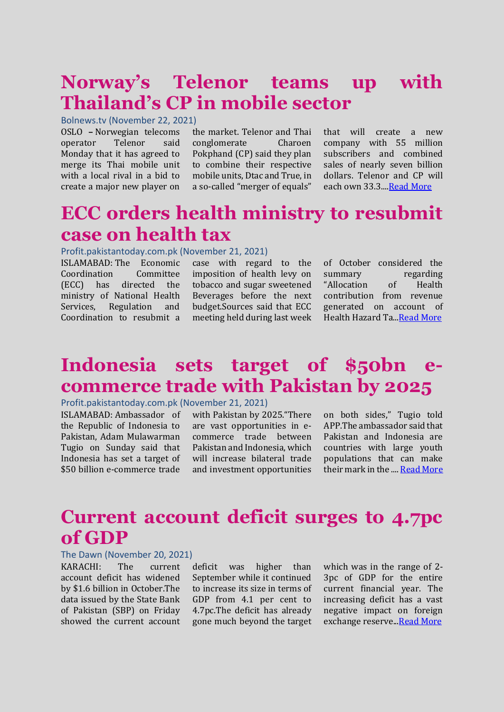# **Norway's Telenor teams up with Thailand's CP in mobile sector**

### Bolnews.tv (November 22, 2021)

OSLO **–** Norwegian telecoms operator Telenor said Monday that it has agreed to merge its Thai mobile unit with a local rival in a bid to create a major new player on

the market. Telenor and Thai conglomerate Charoen Pokphand (CP) said they plan to combine their respective mobile units, Dtac and True, in a so-called "merger of equals"

that will create a new company with 55 million subscribers and combined sales of nearly seven billion dollars. Telenor and CP will each own 33.3..[..Read More](https://www.bolnews.com/business/2021/11/norways-telenor-teams-up-with-thailands-cp-in-mobile-sector/)

### **ECC orders health ministry to resubmit case on health tax**

#### Profit.pakistantoday.com.pk (November 21, 2021)

ISLAMABAD: The Economic Coordination Committee (ECC) has directed the ministry of National Health Services, Regulation and Coordination to resubmit a

case with regard to the imposition of health levy on tobacco and sugar sweetened Beverages before the next budget.Sources said that ECC meeting held during last week

of October considered the summary regarding "Allocation of Health contribution from revenue generated on account of Health Hazard Ta.[..Read More](https://profit.pakistantoday.com.pk/2021/11/21/ecc-orders-health-ministry-to-resubmit-case-on-health-tax/)

# **Indonesia sets target of \$50bn ecommerce trade with Pakistan by 2025**

#### Profit.pakistantoday.com.pk (November 21, 2021)

ISLAMABAD: Ambassador of the Republic of Indonesia to Pakistan, Adam Mulawarman Tugio on Sunday said that Indonesia has set a target of \$50 billion e-commerce trade with Pakistan by 2025."There are vast opportunities in ecommerce trade between Pakistan and Indonesia, which will increase bilateral trade and investment opportunities

on both sides," Tugio told APP.The ambassador said that Pakistan and Indonesia are countries with large youth populations that can make their mark in the ...[. Read More](https://profit.pakistantoday.com.pk/2021/11/21/indonesia-sets-target-of-50bn-e-commerce-trade-with-pakistan-by-2025/)

### **Current account deficit surges to 4.7pc of GDP**

#### The Dawn (November 20, 2021)

KARACHI: The current account deficit has widened by \$1.6 billion in October.The data issued by the State Bank of Pakistan (SBP) on Friday showed the current account

deficit was higher than September while it continued to increase its size in terms of GDP from 4.1 per cent to 4.7pc.The deficit has already gone much beyond the target

which was in the range of 2- 3pc of GDP for the entire current financial year. The increasing deficit has a vast negative impact on foreign exchange reserve.[..Read More](https://www.dawn.com/news/1659119)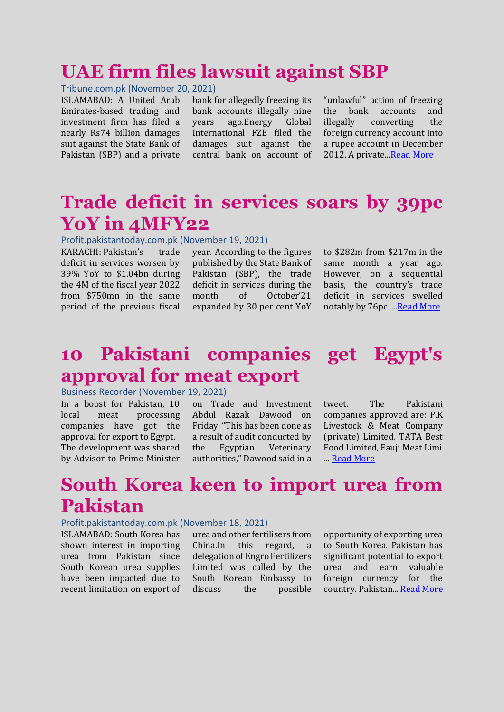### **UAE firm files lawsuit against SBP**

#### Tribune.com.pk (November 20, 2021)

ISLAMABAD: A United Arab Emirates-based trading and investment firm has filed a nearly Rs74 billion damages suit against the State Bank of Pakistan (SBP) and a private

bank for allegedly freezing its bank accounts illegally nine years ago.Energy Global International FZE filed the damages suit against the central bank on account of "unlawful" action of freezing the bank accounts and illegally converting the foreign currency account into a rupee account in December 2012. A private.[..Read More](https://tribune.com.pk/story/2330250/uae-firm-files-lawsuit-against-sbp)

### **Trade deficit in services soars by 39pc YoY in 4MFY22**

#### Profit.pakistantoday.com.pk (November 19, 2021)

KARACHI: Pakistan's trade deficit in services worsen by 39% YoY to \$1.04bn during the 4M of the fiscal year 2022 from \$750mn in the same period of the previous fiscal year. According to the figures published by the State Bank of Pakistan (SBP), the trade deficit in services during the month of October'21 expanded by 30 per cent YoY to \$282m from \$217m in the same month a year ago. However, on a sequential basis, the country's trade deficit in services swelled notably by 76pc .[..Read More](https://profit.pakistantoday.com.pk/2021/11/19/trade-deficit-in-services-soars-by-39pc-yoy-in-4mfy22/)

### **10 Pakistani companies get Egypt's approval for meat export**

#### Business Recorder (November 19, 2021)

In a boost for Pakistan, 10 local meat processing companies have got the approval for export to Egypt. The development was shared by Advisor to Prime Minister

on Trade and Investment Abdul Razak Dawood on Friday. "This has been done as a result of audit conducted by the Egyptian Veterinary authorities," Dawood said in a

tweet. The Pakistani companies approved are: P.K Livestock & Meat Company (private) Limited, TATA Best Food Limited, Fauji Meat Limi ... [Read More](https://www.brecorder.com/news/40134501/10-pakistani-companies-get-egypts-approval-for-meat-export)

### **South Korea keen to import urea from Pakistan**

#### Profit.pakistantoday.com.pk (November 18, 2021)

ISLAMABAD: South Korea has shown interest in importing urea from Pakistan since South Korean urea supplies have been impacted due to recent limitation on export of urea and other fertilisers from China.In this regard, a delegation of Engro Fertilizers Limited was called by the South Korean Embassy to discuss the possible opportunity of exporting urea to South Korea. Pakistan has significant potential to export urea and earn valuable foreign currency for the country. Pakistan..[. Read More](https://profit.pakistantoday.com.pk/2021/11/18/south-korea-keen-to-import-urea-from-pakistan/)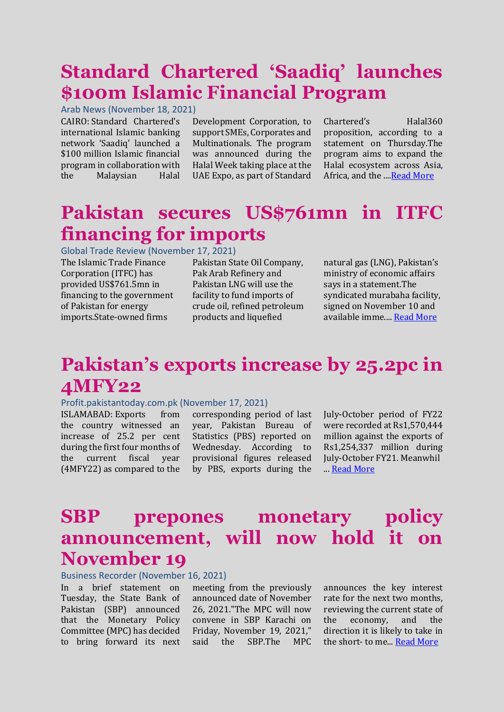# **Standard Chartered 'Saadiq' launches \$100m Islamic Financial Program**

Arab News (November 18, 2021)

CAIRO: Standard Chartered's international Islamic banking network 'Saadiq' launched a \$100 million Islamic financial program in collaboration with the Malaysian Halal

Development Corporation, to support SMEs, Corporates and Multinationals. The program was announced during the Halal Week taking place at the UAE Expo, as part of Standard

Chartered's Halal360 proposition, according to a statement on Thursday.The program aims to expand the Halal ecosystem across Asia, Africa, and the ...[.Read More](https://www.arabnews.com/node/1970471/business-economy)

### **Pakistan secures US\$761mn in ITFC financing for imports**

Global Trade Review (November 17, 2021)

The Islamic Trade Finance Corporation (ITFC) has provided US\$761.5mn in financing to the government of Pakistan for energy imports.State-owned firms

Pakistan State Oil Company, Pak Arab Refinery and Pakistan LNG will use the facility to fund imports of crude oil, refined petroleum products and liquefied

natural gas (LNG), Pakistan's ministry of economic affairs says in a statement.The syndicated murabaha facility, signed on November 10 and available imme...[. Read More](https://www.gtreview.com/news/mena/pakistan-secures-us761mn-in-itfc-financing-for-imports/)

# **Pakistan's exports increase by 25.2pc in 4MFY22**

### Profit.pakistantoday.com.pk (November 17, 2021)

ISLAMABAD: Exports from the country witnessed an increase of 25.2 per cent during the first four months of the current fiscal year (4MFY22) as compared to the

corresponding period of last year, Pakistan Bureau of Statistics (PBS) reported on Wednesday. According to provisional figures released by PBS, exports during the

July-October period of FY22 were recorded at Rs1,570,444 million against the exports of Rs1,254,337 million during July-October FY21. Meanwhil ... [Read More](https://profit.pakistantoday.com.pk/2021/11/17/pakistans-exports-increase-by-25-2pc-in-4mfy22/)

### **SBP prepones monetary policy announcement, will now hold it on November 19**

#### Business Recorder (November 16, 2021)

In a brief statement on Tuesday, the State Bank of Pakistan (SBP) announced that the Monetary Policy Committee (MPC) has decided to bring forward its next

meeting from the previously announced date of November 26, 2021."The MPC will now convene in SBP Karachi on Friday, November 19, 2021," said the SBP.The MPC announces the key interest rate for the next two months, reviewing the current state of the economy, and the direction it is likely to take in the short- to me... [Read More](https://www.brecorder.com/news/40133731)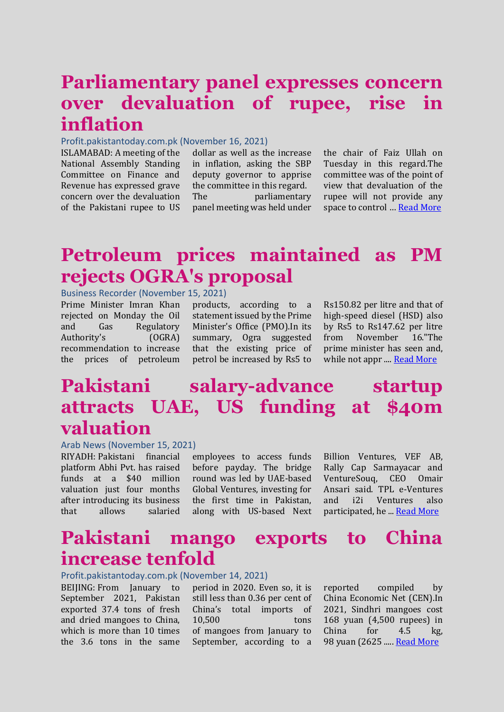# **Parliamentary panel expresses concern over devaluation of rupee, rise in inflation**

#### Profit.pakistantoday.com.pk (November 16, 2021)

ISLAMABAD: A meeting of the National Assembly Standing Committee on Finance and Revenue has expressed grave concern over the devaluation of the Pakistani rupee to US

dollar as well as the increase in inflation, asking the SBP deputy governor to apprise the committee in this regard. The parliamentary panel meeting was held under the chair of Faiz Ullah on Tuesday in this regard.The committee was of the point of view that devaluation of the rupee will not provide any space to control ... **[Read More](https://profit.pakistantoday.com.pk/2021/11/02/pakistan-germany-sign-e129m-financial-cooperation-agreement/)** 

# **Petroleum prices maintained as PM rejects OGRA's proposal**

Business Recorder (November 15, 2021)

Prime Minister Imran Khan rejected on Monday the Oil and Gas Regulatory Authority's (OGRA) recommendation to increase the prices of petroleum products, according to a statement issued by the Prime Minister's Office (PMO).In its summary, Ogra suggested that the existing price of petrol be increased by Rs5 to

Rs150.82 per litre and that of high-speed diesel (HSD) also by Rs5 to Rs147.62 per litre from November 16."The prime minister has seen and, while not appr .... **Read More** 

### **Pakistani salary-advance startup attracts UAE, US funding at \$40m valuation**

#### Arab News (November 15, 2021)

RIYADH: Pakistani financial platform Abhi Pvt. has raised funds at a \$40 million valuation just four months after introducing its business that allows salaried

employees to access funds before payday. The bridge round was led by UAE-based Global Ventures, investing for the first time in Pakistan, along with US-based Next

Billion Ventures, VEF AB, Rally Cap Sarmayacar and VentureSouq, CEO Omair Ansari said. TPL e-Ventures and i2i Ventures also participated, he ... [Read More](https://www.arabnews.com/node/1968271/business-economy)

### **Pakistani mango exports to China increase tenfold**

#### Profit.pakistantoday.com.pk (November 14, 2021)

BEIJING: From January to September 2021, Pakistan exported 37.4 tons of fresh and dried mangoes to China, which is more than 10 times the 3.6 tons in the same

period in 2020. Even so, it is still less than 0.36 per cent of China's total imports of 10,500 tons of mangoes from January to September, according to a

reported compiled by China Economic Net (CEN).In 2021, Sindhri mangoes cost 168 yuan (4,500 rupees) in China for 4.5 kg, 98 yuan (2625 ....[. Read More](https://profit.pakistantoday.com.pk/2021/11/14/pakistani-mango-exports-to-china-increase-tenfold/)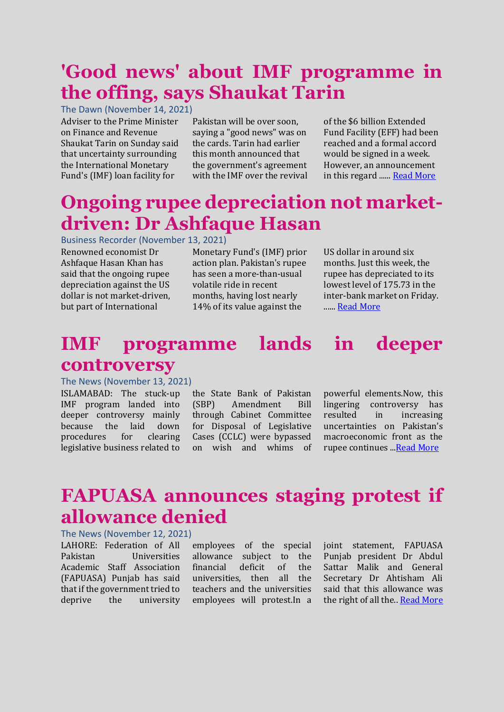# **'Good news' about IMF programme in the offing, says Shaukat Tarin**

The Dawn (November 14, 2021) Adviser to the Prime Minister on Finance and Revenue Shaukat Tarin on Sunday said that uncertainty surrounding the International Monetary Fund's (IMF) loan facility for

Pakistan will be over soon, saying a "good news" was on the cards. Tarin had earlier this month announced that the government's agreement with the IMF over the revival

of the \$6 billion Extended Fund Facility (EFF) had been reached and a formal accord would be signed in a week. However, an announcement in this regard ...... [Read More](https://www.dawn.com/news/1655076)

## **Ongoing rupee depreciation not marketdriven: Dr Ashfaque Hasan**

#### Business Recorder (November 13, 2021)

Renowned economist Dr Ashfaque Hasan Khan has said that the ongoing rupee depreciation against the US dollar is not market-driven, but part of International

Monetary Fund's (IMF) prior action plan. Pakistan's rupee has seen a more-than-usual volatile ride in recent months, having lost nearly 14% of its value against the

US dollar in around six months. Just this week, the rupee has depreciated to its lowest level of 175.73 in the inter-bank market on Friday. .....[. Read More](https://www.brecorder.com/news/40133154)

### **IMF programme lands in deeper controversy**

#### The News (November 13, 2021)

ISLAMABAD: The stuck-up IMF program landed into deeper controversy mainly because the laid down procedures for clearing legislative business related to the State Bank of Pakistan (SBP) Amendment Bill through Cabinet Committee for Disposal of Legislative Cases (CCLC) were bypassed on wish and whims of powerful elements.Now, this lingering controversy has resulted in increasing uncertainties on Pakistan's macroeconomic front as the rupee continues .[..Read More](https://www.thenews.com.pk/print/908356-imf-programme-lands-in-deeper-controversy)

# **FAPUASA announces staging protest if allowance denied**

### The News (November 12, 2021)

LAHORE: Federation of All Pakistan Universities Academic Staff Association (FAPUASA) Punjab has said that if the government tried to deprive the university

employees of the special allowance subject to the financial deficit of the universities, then all the teachers and the universities employees will protest.In a joint statement, FAPUASA Punjab president Dr Abdul Sattar Malik and General Secretary Dr Ahtisham Ali said that this allowance was the right of all the.[. Read More](https://www.thenews.com.pk/print/908001-fapuasa-announces-staging-protest-if-allowance-denied)